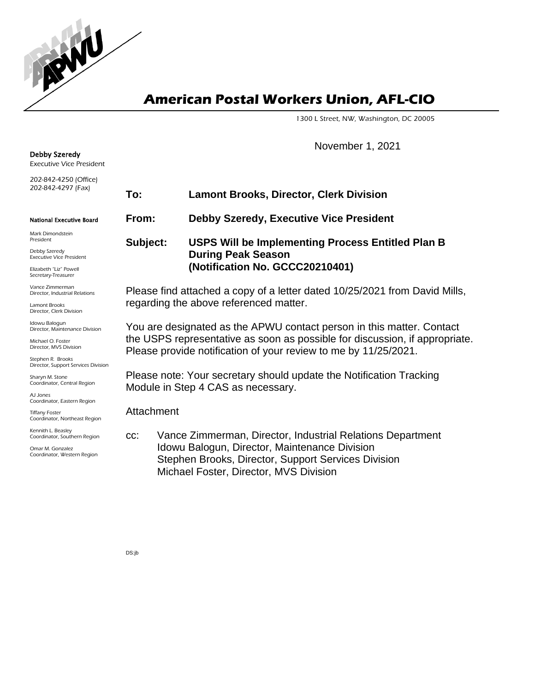**American Postal Workers Union, AFL-CIO**

1300 L Street, NW, Washington, DC 20005

November 1, 2021

Kennith L. Beasley **To: Lamont Brooks, Director, Clerk Division From: Debby Szeredy, Executive Vice President Subject: USPS Will be Implementing Process Entitled Plan B During Peak Season (Notification No. GCCC20210401)** Please find attached a copy of a letter dated 10/25/2021 from David Mills, regarding the above referenced matter. You are designated as the APWU contact person in this matter. Contact the USPS representative as soon as possible for discussion, if appropriate. Please provide notification of your review to me by 11/25/2021. Please note: Your secretary should update the Notification Tracking Module in Step 4 CAS as necessary. **Attachment** cc: Vance Zimmerman, Director, Industrial Relations Department Idowu Balogun, Director, Maintenance Division Stephen Brooks, Director, Support Services Division Michael Foster, Director, MVS Division

DS:jb

Debby Szeredy Executive Vice President 202-842-4250 (Office) 202-842-4297 (Fax) National Executive Board Mark Dimondstein President Debby Szeredy Executive Vice President

Elizabeth "Liz" Powell Secretary-Treasurer

Vance Zimmerman Director, Industrial Relations

Lamont Brooks Director, Clerk Division

Idowu Balogun Director, Maintenance Division

Michael O. Foster Director, MVS Division

Stephen R. Brooks Director, Support Services Division

Sharyn M. Stone Coordinator, Central Region

AJ Jones Coordinator, Eastern Region

Tiffany Foster Coordinator, Northeast Region

Coordinator, Southern Region

Omar M. Gonzalez Coordinator, Western Region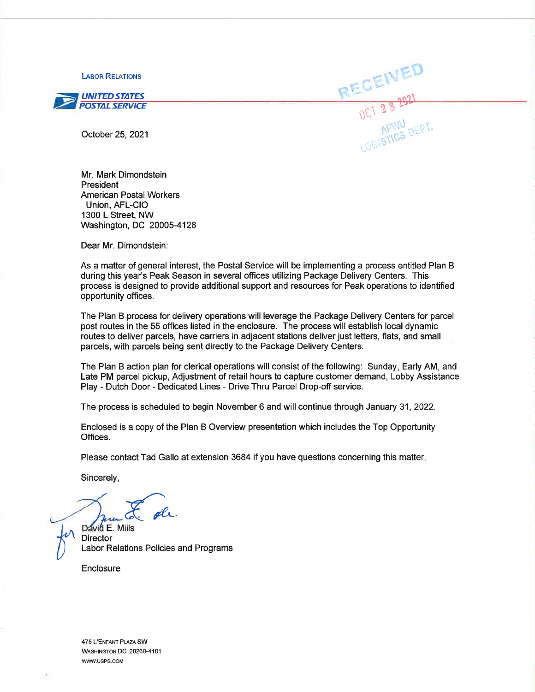**LABOR RELATIONS** 



October 25, 2021

Mr. Mark Dimondstein President **American Postal Workers** Union, AFL-CIO 1300 L Street, NW Washington, DC 20005-4128

Dear Mr. Dimondstein:

As a matter of general interest, the Postal Service will be implementing a process entitled Plan B during this year's Peak Season in several offices utilizing Package Delivery Centers. This process is designed to provide additional support and resources for Peak operations to identified opportunity offices.

RECEIVED

The Plan B process for delivery operations will leverage the Package Delivery Centers for parcel post routes in the 55 offices listed in the enclosure. The process will establish local dynamic routes to deliver parcels, have carriers in adjacent stations deliver just letters, flats, and small parcels, with parcels being sent directly to the Package Delivery Centers.

The Plan B action plan for clerical operations will consist of the following: Sunday, Early AM, and Late PM parcel pickup, Adjustment of retail hours to capture customer demand. Lobby Assistance Play - Dutch Door - Dedicated Lines - Drive Thru Parcel Drop-off service.

The process is scheduled to begin November 6 and will continue through January 31, 2022.

Enclosed is a copy of the Plan B Overview presentation which includes the Top Opportunity Offices.

Please contact Tad Gallo at extension 3684 if you have questions concerning this matter.

Sincerely,

David E. Mills **Director** Labor Relations Policies and Programs

Enclosure

475 L'ENFANT PLAZA SW WASHINGTON DC 20260-4101 WWW.USPS.COM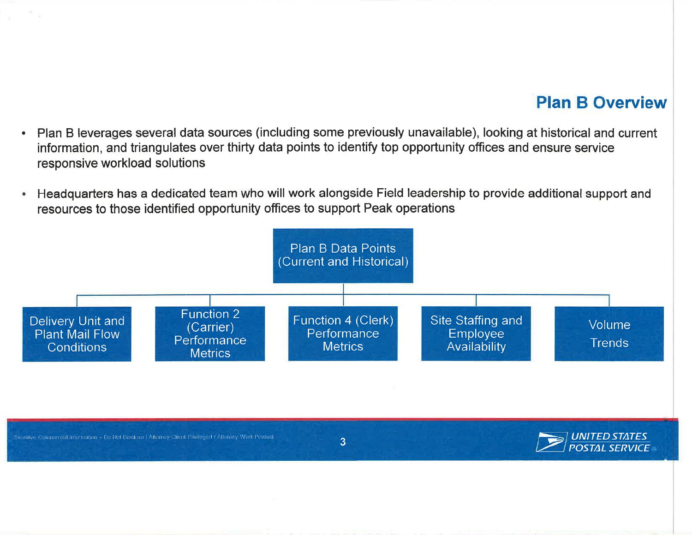#### **Plan B Overview**

- Plan B leverages several data sources (including some previously unavailable), looking at historical and current  $\bullet$ information, and triangulates over thirty data points to identify top opportunity offices and ensure service responsive workload solutions
- Headquarters has a dedicated team who will work alongside Field leadership to provide additional support and  $\bullet$ resources to those identified opportunity offices to support Peak operations

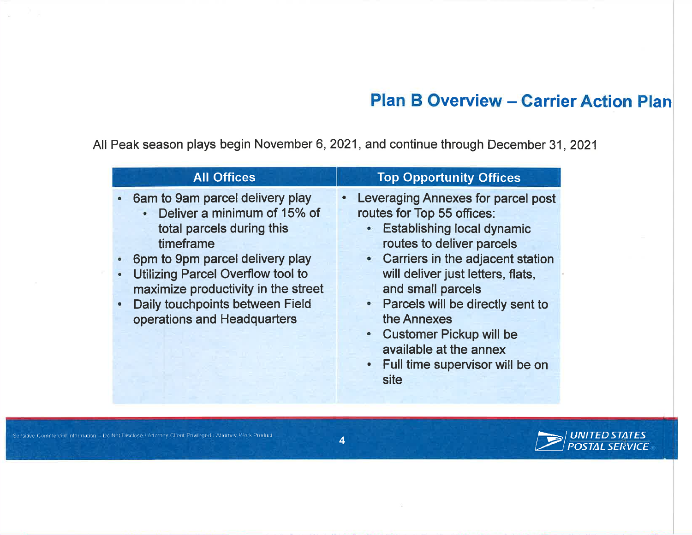### **Plan B Overview - Carrier Action Plan**

All Peak season plays begin November 6, 2021, and continue through December 31, 2021

| <b>All Offices</b>                                                                                                                                                                                                                                                                                     | <b>Top Opportunity Offices</b>                                                                                                                                                                                                                                                                                                                                                            |
|--------------------------------------------------------------------------------------------------------------------------------------------------------------------------------------------------------------------------------------------------------------------------------------------------------|-------------------------------------------------------------------------------------------------------------------------------------------------------------------------------------------------------------------------------------------------------------------------------------------------------------------------------------------------------------------------------------------|
| • 6am to 9am parcel delivery play<br>• Deliver a minimum of 15% of<br>total parcels during this<br>timeframe<br>6pm to 9pm parcel delivery play<br><b>Utilizing Parcel Overflow tool to</b><br>maximize productivity in the street<br>• Daily touchpoints between Field<br>operations and Headquarters | Leveraging Annexes for parcel post<br>routes for Top 55 offices:<br>• Establishing local dynamic<br>routes to deliver parcels<br>• Carriers in the adjacent station<br>will deliver just letters, flats,<br>and small parcels<br>• Parcels will be directly sent to<br>the Annexes<br><b>Customer Pickup will be</b><br>available at the annex<br>Full time supervisor will be on<br>site |

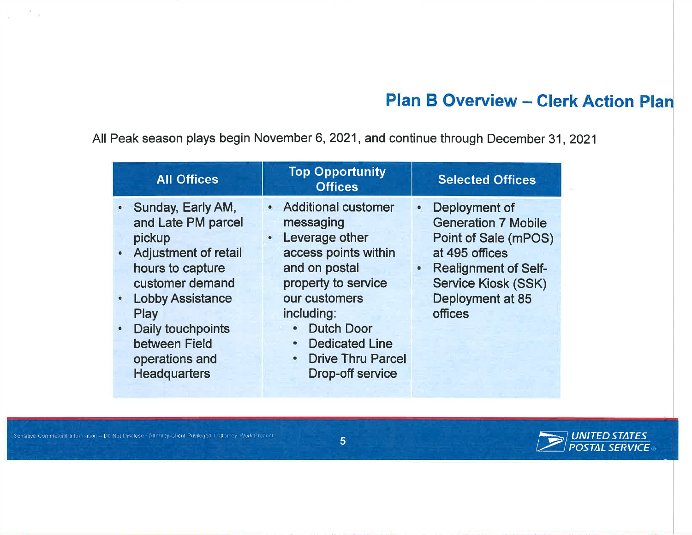## **Plan B Overview - Clerk Action Plan**

All Peak season plays begin November 6, 2021, and continue through December 31, 2021

| <b>All Offices</b>                                                                                                                                                                                                                  | <b>Top Opportunity</b><br><b>Offices</b>                                                                                                                                                                                                                              | <b>Selected Offices</b>                                                                                                                                                                                            |
|-------------------------------------------------------------------------------------------------------------------------------------------------------------------------------------------------------------------------------------|-----------------------------------------------------------------------------------------------------------------------------------------------------------------------------------------------------------------------------------------------------------------------|--------------------------------------------------------------------------------------------------------------------------------------------------------------------------------------------------------------------|
| • Sunday, Early AM,<br>and Late PM parcel<br>pickup<br>• Adjustment of retail<br>hours to capture<br>customer demand<br>• Lobby Assistance<br>Play<br>• Daily touchpoints<br>between Field<br>operations and<br><b>Headquarters</b> | • Additional customer<br>messaging<br>Leverage other<br>$\bullet$<br>access points within<br>and on postal<br>property to service<br>our customers<br>including:<br><b>Dutch Door</b><br><b>Dedicated Line</b><br><b>Drive Thru Parcel</b><br><b>Drop-off service</b> | Deployment of<br>$\bullet$<br><b>Generation 7 Mobile</b><br>Point of Sale (mPOS)<br>at 495 offices<br><b>Realignment of Self-</b><br>$\bullet$<br><b>Service Kiosk (SSK)</b><br>Deployment at 85<br><b>offices</b> |



Sensitive Commercial Information - Do Not Disclose / Attemey Client Privileged / Attorney Work Product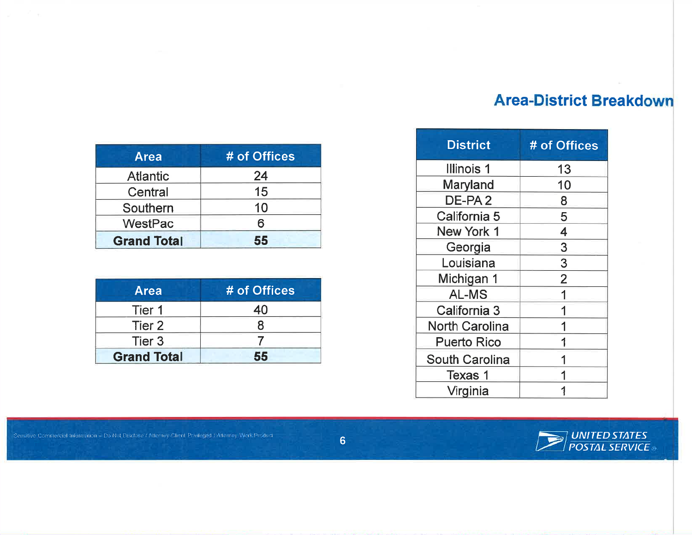#### **Area-District Breakdown**

| <b>Area</b>        | # of Offices |
|--------------------|--------------|
| <b>Atlantic</b>    | 24           |
| Central            | 15           |
| Southern           | 10           |
| WestPac            | 6            |
| <b>Grand Total</b> | 55           |

| <b>Area</b>        | # of Offices |
|--------------------|--------------|
| Tier 1             | 40           |
| Tier 2             |              |
| Tier <sub>3</sub>  |              |
| <b>Grand Total</b> | 55           |

| <b>District</b>       | # of Offices            |
|-----------------------|-------------------------|
| Illinois 1            | 13                      |
| Maryland              | 10                      |
| DE-PA <sub>2</sub>    | 8                       |
| California 5          | 5                       |
| New York 1            | $\overline{\mathbf{4}}$ |
| Georgia               | 3                       |
| Louisiana             | 3                       |
| Michigan 1            | $\overline{2}$          |
| <b>AL-MS</b>          | 1                       |
| California 3          | 1                       |
| <b>North Carolina</b> | 1                       |
| <b>Puerto Rico</b>    | 1                       |
| <b>South Carolina</b> |                         |
| Texas 1               |                         |
| Virginia              |                         |



Sensitive Communical Information - Do Not Disclose / Attorney-Glient Privileged / Attorney Work Product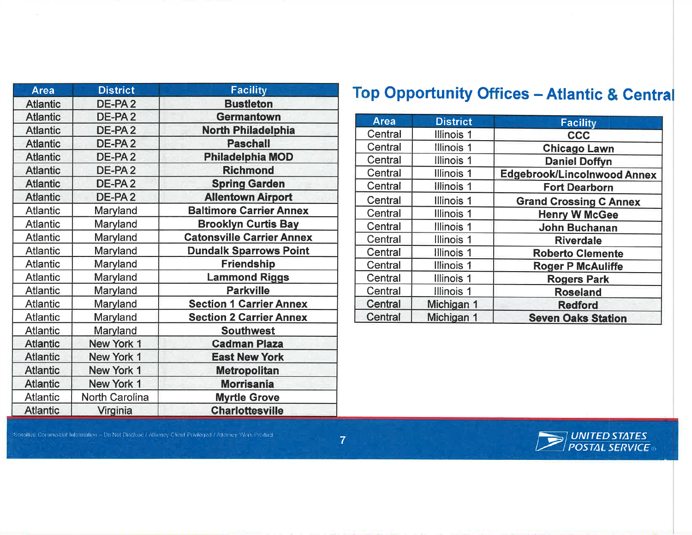| <b>Area</b>     | <b>District</b>       | <b>Facility</b>                  |
|-----------------|-----------------------|----------------------------------|
| <b>Atlantic</b> | DE-PA <sub>2</sub>    | <b>Bustleton</b>                 |
| <b>Atlantic</b> | DE-PA <sub>2</sub>    | <b>Germantown</b>                |
| <b>Atlantic</b> | DE-PA <sub>2</sub>    | <b>North Philadelphia</b>        |
| <b>Atlantic</b> | DE-PA <sub>2</sub>    | <b>Paschall</b>                  |
| <b>Atlantic</b> | DE-PA <sub>2</sub>    | <b>Philadelphia MOD</b>          |
| <b>Atlantic</b> | DE-PA <sub>2</sub>    | <b>Richmond</b>                  |
| <b>Atlantic</b> | DE-PA <sub>2</sub>    | <b>Spring Garden</b>             |
| <b>Atlantic</b> | DE-PA <sub>2</sub>    | <b>Allentown Airport</b>         |
| <b>Atlantic</b> | Maryland              | <b>Baltimore Carrier Annex</b>   |
| <b>Atlantic</b> | Maryland              | <b>Brooklyn Curtis Bay</b>       |
| <b>Atlantic</b> | Maryland              | <b>Catonsville Carrier Annex</b> |
| <b>Atlantic</b> | Maryland              | <b>Dundalk Sparrows Point</b>    |
| <b>Atlantic</b> | Maryland              | Friendship                       |
| <b>Atlantic</b> | Maryland              | <b>Lammond Riggs</b>             |
| <b>Atlantic</b> | Maryland              | <b>Parkville</b>                 |
| <b>Atlantic</b> | Maryland              | <b>Section 1 Carrier Annex</b>   |
| <b>Atlantic</b> | Maryland              | <b>Section 2 Carrier Annex</b>   |
| <b>Atlantic</b> | Maryland              | <b>Southwest</b>                 |
| <b>Atlantic</b> | New York 1            | <b>Cadman Plaza</b>              |
| <b>Atlantic</b> | New York 1            | <b>East New York</b>             |
| <b>Atlantic</b> | New York 1            | <b>Metropolitan</b>              |
| <b>Atlantic</b> | New York 1            | <b>Morrisania</b>                |
| <b>Atlantic</b> | <b>North Carolina</b> | <b>Myrtle Grove</b>              |
| <b>Atlantic</b> | Virginia              | <b>Charlottesville</b>           |

# **Top Opportunity Offices - Atlantic & Central**

| <b>Area</b>    | <b>District</b>   | <b>Facility</b>                    |
|----------------|-------------------|------------------------------------|
| Central        | Illinois 1        | <b>CCC</b>                         |
| Central        | Illinois 1        | <b>Chicago Lawn</b>                |
| Central        | Illinois 1        | <b>Daniel Doffyn</b>               |
| Central        | <b>Illinois 1</b> | <b>Edgebrook/Lincolnwood Annex</b> |
| Central        | Illinois 1        | <b>Fort Dearborn</b>               |
| Central        | Illinois 1        | <b>Grand Crossing C Annex</b>      |
| Central        | Illinois 1        | <b>Henry W McGee</b>               |
| Central        | <b>Illinois 1</b> | <b>John Buchanan</b>               |
| Central        | Illinois 1        | <b>Riverdale</b>                   |
| Central        | <b>Illinois 1</b> | <b>Roberto Clemente</b>            |
| Central        | Illinois 1        | <b>Roger P McAuliffe</b>           |
| Central        | <b>Illinois 1</b> | <b>Rogers Park</b>                 |
| Central        | Illinois 1        | <b>Roseland</b>                    |
| Central        | Michigan 1        | <b>Redford</b>                     |
| <b>Central</b> | Michigan 1        | <b>Seven Oaks Station</b>          |



Sensitive Commercial Information - Do Not Disclose / Atlamey Client Privileged / Atlamey Work Product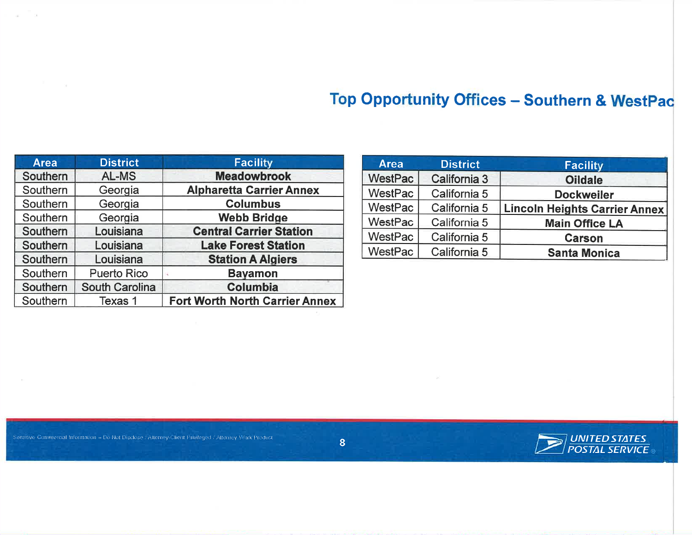## Top Opportunity Offices - Southern & WestPac

| <b>Area</b>     | <b>District</b>       | <b>Facility</b>                       |
|-----------------|-----------------------|---------------------------------------|
| <b>Southern</b> | AL-MS                 | <b>Meadowbrook</b>                    |
| Southern        | Georgia               | <b>Alpharetta Carrier Annex</b>       |
| Southern        | Georgia               | <b>Columbus</b>                       |
| Southern        | Georgia               | <b>Webb Bridge</b>                    |
| Southern        | Louisiana             | <b>Central Carrier Station</b>        |
| <b>Southern</b> | Louisiana             | <b>Lake Forest Station</b>            |
| Southern        | Louisiana             | <b>Station A Algiers</b>              |
| Southern        | <b>Puerto Rico</b>    | <b>Bayamon</b>                        |
| Southern        | <b>South Carolina</b> | <b>Columbia</b>                       |
| Southern        | Texas 1               | <b>Fort Worth North Carrier Annex</b> |

| <b>Area</b>    | <b>District</b>     | <b>Facility</b>                      |
|----------------|---------------------|--------------------------------------|
| <b>WestPac</b> | <b>California 3</b> | <b>Oildale</b>                       |
| WestPac        | California 5        | <b>Dockweiler</b>                    |
| WestPac        | California 5        | <b>Lincoln Heights Carrier Annex</b> |
| WestPac        | California 5        | <b>Main Office LA</b>                |
| WestPac        | California 5        | <b>Carson</b>                        |
| WestPac        | California 5        | <b>Santa Monica</b>                  |